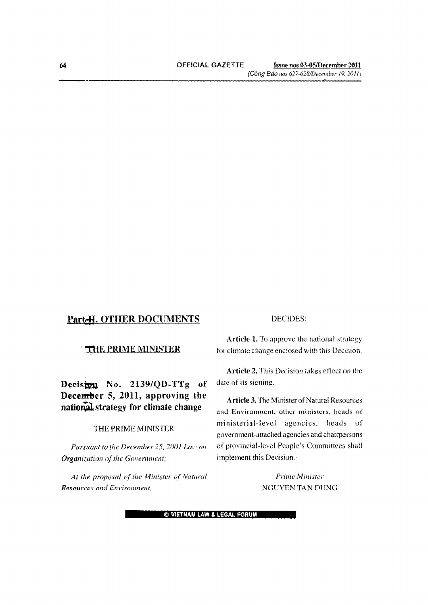*(Gong Beo /lOS 627-628/Dece/llber 19,201I)*

# **Part-H. OTHER DOCUMENTS**

## **THE PRIME MINISTER**

**Decistou No. 2139/QD-TTg of December 5, 2011, approving the national** strategy for climate change

## THE **PRIME** MINISTER

*Pursuant to the December 25, 2001 Law on Organization of the Government;* 

*At the proposal of the Minister or Natural Resources {me! Environment,*

## DECIDES:

**Article 1.** To approve the national strategy for climate change enclosed with this Decision.

**Article 2.** This Decision takes effect on the date of its signing.

**Article 3.** The Minister of Natural Resources and Environment, other ministers, heads of ministerial-level agencies, heads of government-attached agencies and chairpersons of provincial-level People's Committees shall implement this Decision.-

> *Prime Minister* NGUYEN TAN DUNG

e **VIETNAM LAW & LEGAL FORUM**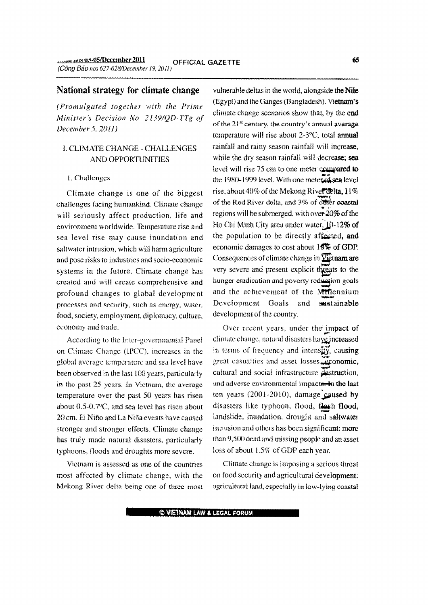## National strategy for climate change

(Promulgated together with the Prime Minister's Decision No. 2139/QD-TTg of December  $5, 2011$ 

# I. CLIMATE CHANGE - CHALLENGES **AND OPPORTUNITIES**

#### 1. Challenges

Climate change is one of the biggest challenges facing humankind. Climate change will seriously affect production, life and environment worldwide. Temperature rise and sea level rise may cause inundation and saltwater intrusion, which will harm agriculture and pose risks to industries and socio-economic systems in the future. Climate change has created and will create comprehensive and profound changes to global development processes and security, such as energy, water, food, society, employment, diplomacy, culture, economy and trade.

According to the Inter-governmental Panel on Climate Change (IPCC), increases in the global average temperature and sea level have been observed in the last 100 years, particularly in the past 25 years. In Victnam, the average temperature over the past 50 years has risen about  $0.5$ -0.7 $\degree$ C, and sea level has risen about 20 cm. El Niño and La Niña events have caused stronger and stronger effects. Climate change has truly made natural disasters, particularly typhoons, floods and droughts more severe.

Vietnam is assessed as one of the countries most affected by climate change, with the Mekong River delta being one of three most vulnerable deltas in the world, alongside the Nile (Egypt) and the Ganges (Bangladesh). Vietnam's climate change scenarios show that, by the end of the 21<sup>st</sup> century, the country's annual average temperature will rise about  $2-3$ <sup>o</sup>C; total annual rainfall and rainy season rainfall will increase. while the dry season rainfall will decrease; sea level will rise 75 cm to one meter compared to the 1980-1999 level. With one meter of sea level rise, about 40% of the Mekong Rivertielta, 11% of the Red River delta, and 3% of other coastal regions will be submerged, with over 20% of the Ho Chi Minh City area under water, 10-12% of the population to be directly affected, and economic damages to cost about 10% of GDP. Consequences of climate change in *Vietnam* are very severe and present explicit threats to the hunger eradication and poverty reduction goals and the achievement of the Millennium Development Goals and sustainable development of the country.

Over recent years, under the impact of climate change, natural disasters have increased in terms of frequency and intensity, causing great casualties and asset losses, economic, cultural and social infrastructure destruction, and adverse environmental impacte. In the last ten years  $(2001-2010)$ , damage caused by disasters like typhoon, flood, flash flood, landslide, inundation, drought and saltwater intrusion and others has been significant: more than 9,500 dead and missing people and an asset loss of about 1.5% of GDP each year.

Climate change is imposing a serious threat on food security and agricultural development: agricultural land, especially in low-lying coastal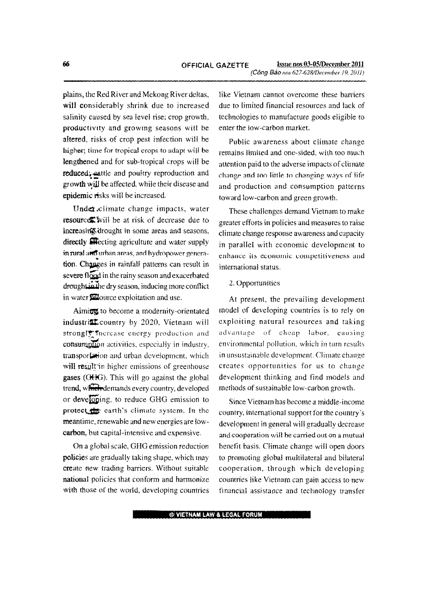plains, the Red River and Mekong River deltas, will considerably shrink due to increased salinity caused by sea level rise; crop growth, productivity and growmg seasons will be altered, risks of crop pest infection will be higher; time for tropical crops to adapt will be lengthened and for sub-tropical crops will be reduced: eattle and poultry reproduction and  $\text{growth}$  will be affected, while their disease and epidemic risks will be increased.

Under climate change impacts, water resource: will be at risk of decrease due to increasing drought in some areas and seasons, directly **attentionally** agriculture and water supply in rural and urban areas, and hydropower genera-<br>tion. Changes in rainfall patterns can result in severe flood in the rainy season and exacerbated drought in the dry season, inducing more conflict in water **Si**fource exploitation and use.

Aiming to become a modernity-orientated industrill country by 2020, Vietnam will strongly facrease energy production and consumption activities, especially in industry, transportation and urban development, which will result in higher emissions of greenhouse gases (OHG). This will go against the global trend, which demands every country, developed or developing, to reduce GHG emission to protect the earth's climate system. In the meantime, renewable and new energies are lowcarbon, but capital-intensive and expensive.

On a global scale, GHG emission reduction policies are gradually taking shape, which may create new trading barriers. Without suitable national policies that conform and harmonize with those of the world, developing countries like Vietnam cannot overcome these barriers due to limited financial resources and lack of technologies to manufacture goods eligible to enter the low-carbon market.

Public awareness about climate change remains limited and one-sided, with too much attention paid to the adverse impacts of climate change and too little to changing ways of life and production and consumption patterns toward low-carbon and green growth.

These challenges demand Vietnam to make greater efforts in policies and measures to raise climate change response awareness and capacity in parallel with economic development to enhance its economic competitiveness and international status.

### 2. Opportunities

At present, the prevailing development model of developing countries is to rely on exploiting natural resources and taking advantage of cheap labor, causing environmental pollution, which in turn results in unsustainable development. Climate change creates opportunities for us to change development thinking and find models and methods of sustainable low-carbon growth.

Since Vietnam has become a middle-income country. international support for the country's development in general will gradually decrease and cooperation will be carried out on a mutual benefit basis. Climate change will open doors to promoting global multilateral and bilateral cooperation, through which developing countries like Vietnam can gain access to new financial assistance and technology transfer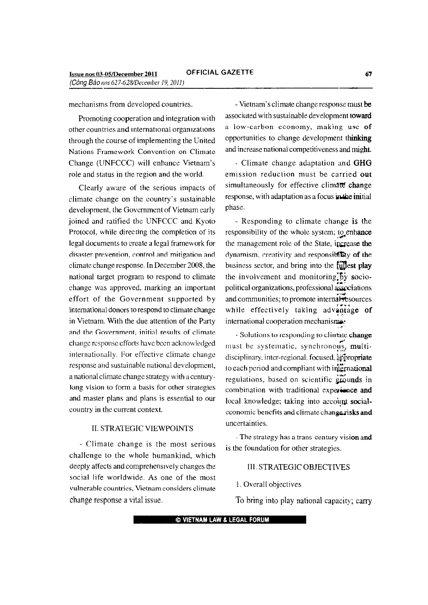mechanisms from developed countries.

Promoting cooperation and integration with other countries and international organizations through the course of implementing the United Nations Framework Convention on Climate Change (UNFCCC) will enhance Vietnam's role and status in the region and the world.

Clearly aware of the serious impacts of climate change on the country's sustainable development, the Government of Vietnam early joined and ratified the UNFCCC and Kyoto Protocol, while directing the completion of its legal documents to create a legal framework for disaster prevention, control and mitigation and climate change response. In December 2008, the national target program to respond to climate change was approved, marking an important effort of the Government supported by intemational donors to respond to climate change in Vietnam With the due attention of the Party and the Government, initial results of climate change response efforts have been acknowledged internationally. For effective climate change response and sustainable national development, a national climate change strategy with a centurylong vision to form a basis for other strategies and master plans and plans is essential to our country in the current context.

## II. STRATEGIC VIEWPOINTS

- Climate change is the most serious challenge to the whole humankind, which deeply affects and comprehensively changes the social life worldwide. As one of the most vulnerable countries, Vietnam considers climate change response a vital issue.

- Vietnam's climate change response must be associated with sustainable development toward a low-carbon economy, making use of opportunities to change development thinking and increase national competitiveness and might.

- Climate change adaptation and GHG emission reduction must be carried out simultaneously for effective climate change response, with adaptation as a focus in the initial phase.

- Responding to climate change is the responsibility of the whole system; to enhance the management role of the State, increase the dynamism, creativity and responsibility of the business sector, and bring into the  $f$ *ullest* play the involvement and monitoring<sub>iby</sub> sociopolitical organizations, professional associations and communities; to promote internal resources while effectively taking advantage of international cooperation mechanisms- ,,'

- Solutions to responding to clintate change *,r* must be systematic, synchronous, multidisciplinary. inter-regional, focused, appropriate to each period and compliant with international regulations, based on scientific  $\ddot{z}$  cunds in combination with traditional experience and local knowledge; taking into account socialcconomic benefits and climate change risks and uncertainties.

- The strategy has a trans century vision and is the foundation for other strategies.

### III. STRATEGIC OBJECTIVES

### 1. Overall objectives

To bring into play national capacity; carry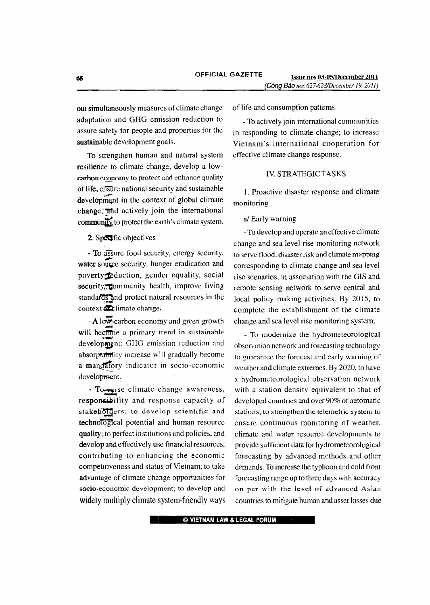out simultaneously measures of climate change adaptation and GHG emission reduction to assure safety for people and properties for the sustainable development goals.

To strengthen human and natural system resilience to climate change, develop a lowcarbon economy to protect and enhance quality of life, ensure national security and sustainable development in the context of global climate change, and actively join the international community to protect the earth's climate system.

## 2. Specific objectives

- To assure food security, energy security, water source security, hunger eradication and poverty feduction, gender equality, social security, community health, improve living standards and protect natural resources in the context a climate change.

 $-A$  low-carbon economy and green growth will become a primary trend in sustainable development; GHG emission reduction and absorprability increase will gradually become a mandatory indicator in socio-economic development.

- Tu-se climate change awareness, responsibility and response capacity of stakehologers; to develop scientific and technological potential and human resource quality; to perfect institutions and policies, and develop and effectively use financial resources, contributing to enhancing the economic competitiveness and status of Vietnam; to take advantage of climate change opportunities for socio-economic development; to develop and widely multiply climate system-friendly ways of life and consumption patterns.

- To actively join international communities in responding to climate change; to increase Vietnam's international cooperation for effective climate change response.

### **IV. STRATEGIC TASKS**

1. Proactive disaster response and climate monitoring

a/ Early warning

- To develop and operate an effective climate change and sea level rise monitoring network to serve flood, disaster risk and climate mapping corresponding to climate change and sea level rise scenarios, in association with the GIS and remote sensing network to serve central and local policy making activities. By 2015, to complete the establishment of the climate change and sea level rise monitoring system;

- To modernize the hydrometeorological observation network and forecasting technology to guarantee the forecast and early warning of weather and climate extremes. By 2020, to have a hydrometeorological observation network with a station density equivalent to that of developed countries and over 90% of automatic stations; to strengthen the telemetric system to ensure continuous monitoring of weather, climate and water resource developments to provide sufficient data for hydrometeorological forecasting by advanced methods and other demands. To increase the typhoon and cold front forecasting range up to three days with accuracy on par with the level of advanced Asian countries to mitigate human and asset losses due

© VIETNAM LAW & LEGAL FORUM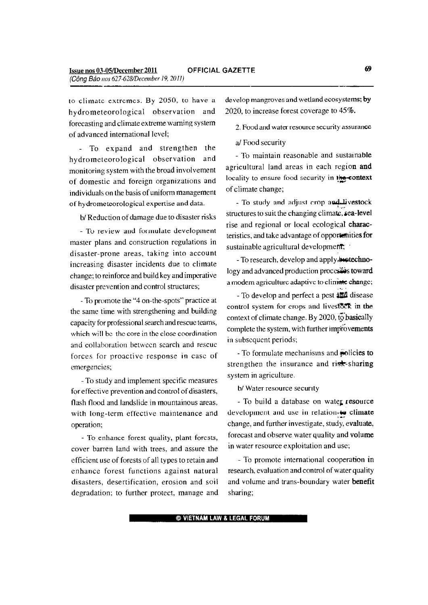to climate extremes. By 2050, to have a hydrometeorological observation and forecasting and climate extreme warning system of advanced international level;

- To expand and strengthen the hydrometeorological observation and monitoring system with the broad involvement of domestic and foreign organizations and individuals on the basis of uniform management of hydrometeorological expertise and data.

b/ Reduction of damage due to disaster risks

- Tv review and formulate development master plans and construction regulations in disaster-prone areas, taking into account increasing disaster incidents due to climate change; to reinforce and build key and imperative disaster prevention and control structures;

- To promote the "4 on-the-spots" practice at the same time with strengthening and building capacity for professional search and rescue teams, which wiII be the core in the close coordination and collaboration between search and rescue forces for proactive response in case of emergencies;

- To study and implement specific measures for effective prevention and control of disasters, flash flood and landslide in mountainous areas, with long-term effective maintenance and operation;

- To enhance forest quality, plant forests, cover barren land with trees, and assure the efficient use of forests of all types to retain and enhance forest functions against natural disasters, desertification, erosion and soil degradation; to further protect, manage and develop mangroves and wetland ecosystems; by 2020, to increase forest coverage to 45%.

2. Food and water resource security assurance

a/ Food security

- To maintain reasonable and sustainable agricultural land areas in each region and locality to ensure food security in the-context of climate change;

vestock المسلمة - To study and adjust crop and structures to suit the changing climate, sea-level rise and regional or local ecological characteristics, and take advantage of opportunities for sustainable agricultural development;

- To research, develop and apply.**bestechno**logy and advanced production processes toward a modem agriculture adaptive to climate change;

- To develop and perfect a pest **alle** disease control system for crops and livestock in the context of climate change. By 2020, to basically complete the system, with further improvements in subsequent periods;

- To formulate mechanisms and **policies to** strengthen the insurance and risk-sharing system in agriculture.

*bl* Water resource secunty

- To build a database on water resource development and use in relation to climate change, and further investigate, study, evaluate, forecast and observe water quality and volume in water resource exploitation and use;

- To promote i nternational cooperation in research, evaluation and control of water quality and volume and trans-boundary water benefit sharing;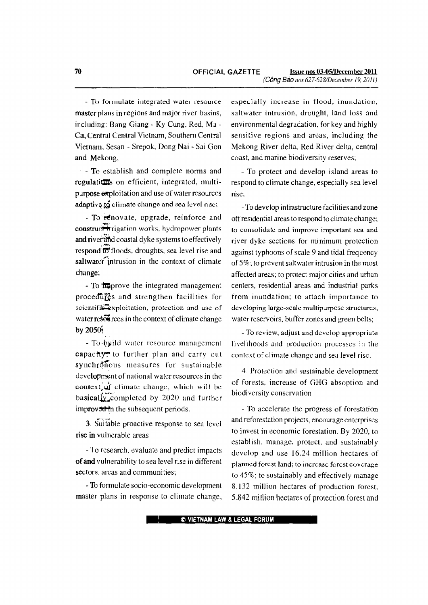- To formulate integrated water resource master plans in regions and major river basins, including: Bang Giang· Ky Cung, Red. Ma-Ca, Central Central Vietnam, Southern Central Vietnam, Sesan - Srepok, Dong Nai - Sai Gon and Mekong;

- To establish and complete norms and regulations on efficient, integrated, multipurpose exploitation and use of water resources adaptive  $\tilde{\mathfrak{g}}$  climate change and sea level rise;

- To renovate, upgrade, reinforce and construct in rigation works, hydropower plants and river and coastal dyke systems to effectively respond<sup>†</sup> <sup>to</sup> floods, droughts, sea level rise and saltwater intrusion in the context of climate change;

- To **fulprove** the integrated management procedures and strengthen facilities for scientific<sup>2</sup>xploitation, protection and use of water resolutives in the context of climate change by 2050;

- To build water resource management capachy, to further plan and carry out synchrohous measures for sustainable development of national water resources in the context, of climate change, which will be basically completed by 2020 and further improver in the subsequent periods.

3. Suitable proactive response to sea level rise in vulnerable areas

- To research, evaluate and predict impacts of and vulnerability to sea level rise in different sectors, areas and communities;

- To formulate socio-economic development master plans in response to climate change, especially increase in flood, inundation, saltwater intrusion, drought, land loss and environmental degradation. for key and highly sensitive regions and areas, including the Mekong River delta, Red River delta, central coast, and marine biodiversity reserves;

- To protect and develop island areas to respond to climate change, especially sea level rise;

-To develop infrastructure facilities and zone off residential areas to respond to climate change; to consolidate and improve important sea and river dyke sections for minimum protection against typhoons of scale 9 and tidal frequency of 5%; to prevent saltwater intrusion in the most affected areas; to protect major cities and urban centers, residential areas and industrial parks from inundation; to attach importance to developing large-scale multipurpose structures, water reservoirs, buffer zones and green belts;

- To review, adjust and develop appropriate livelihoods and production processes in the context of climate change and sea level rise.

4. Protection and sustainable development of forests, increase of GHG absoption and biodiversity conservation

- To accelerate the progress of forestation and reforestation projects, encourage enterprises to invest in economic forestation. By 2020, to establish, manage, protect, and sustainably develop and use 16.24 million hectares of planned forest land; to increase forest coverage to 45%; to sustainably and effectively manage 8.132 million hectares of production forest 5.842million hectares of protection forest and

**EXTERNAM LAW & LEGAL FORUM**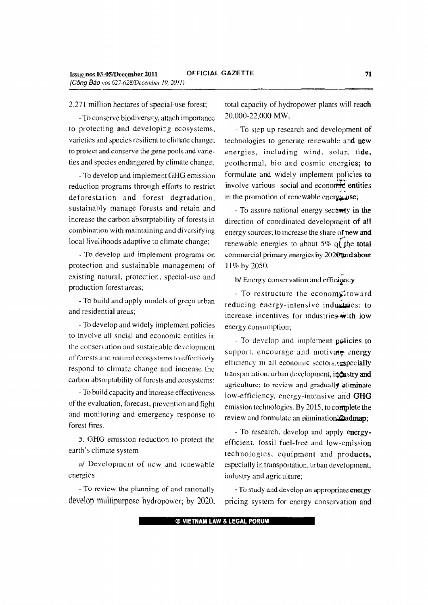2.271 million hectares of special-use forest;

- To conserve biodiversity, attach importance to protecting and developing ecosystems, varieties and species resilient to climate change; to protect and conserve the gene pools and varieties and species endangered by climate change;

- To develop and implement GHG emission reduction programs through efforts to restrict deforestation and forest degradation, sustainably manage forests and retain and increase the carbon absorptability of forests in combination with maintaining and diversifying local livelihoods adaptive to climate change;

- To develop and implement programs on protection and sustainable management of existing natural, protection, special-use and production forest areas;

- To build and apply models of green urban and residential areas;

- To develop and widely implement policies to involve all social and economic entities in the conservation and sustainable development of forests and natural ecosystems to effectively respond to climate change and increase the carbon absorptability of forests and ecosystems;

- To build capacity and increase effectiveness of the evaluation, forecast, prevention and fight and monitoring and emergency response to forest fires.

5. GHG emission reduction to protect the earth's climate system

*al* Development of new and reuewable energies

- To review the planning of and rationally develop multipurpose hydropower; by 2020, total capacity of hydropower plants will reach 20,000-22,000 MW;

- To step up research and development of technologies to generate renewable and new energies, including wind, solar, tide, geothermal, bio and cosmic energies; to formulate and widely implement policies to involve various social and economic entities in the promotion of renewable energy use;

- To assure national energy security in the direction of coordinated development of all energy sources; to increase the share of new and renewable energies to about 5% of the total commercial primary energies by 2020 and about 11% by 2050.

*b*/ Energy conservation and efficiency

- To restructure the economy ftoward reducing energy-intensive industries: to increase incentives for industries with low energy consumption;

- To develop and implement policies to support, encourage and motivate energy efficiency in all economic sectors, especially transportation, urban development, industry and agriculture; to review and gradually aliminate low-efficiency, energy-intensive and GHG emission technologies. By 2015, to complete the review and formulate an elimination Zadmap;

- To research, develop and apply energyefficient, fossil fuel-free and low-emission technologies, equipment and products, especially in transportation, urban development, industry and agriculture;

- To study and develop an appropriate energy pricing system for energy conservation and

© **VIETNAM LAW & LEGAL FORUM**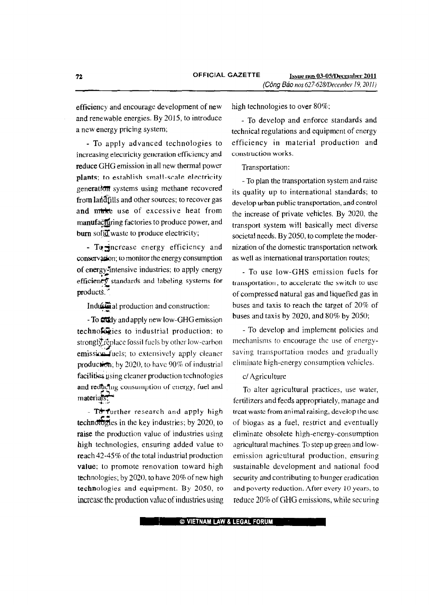efficiency and encourage development of new and renewable energies. By 2015, to introduce a new energy pricing system;

- To apply advanced technologies to increasing electricity generation efficiency and reduce GHG emission in all new thermal power plants; to establish small-scale electricity generation systems using methane recovered from land fills and other sources; to recover gas and mussive describe heat from manufacturing factories to produce power, and burn sofill waste to produce electricity;

- Togncrease energy efficiency and conservation; to monitor the energy consumption of energy-intensive industries; to apply energy efficiently standards and labeling systems for  $\overline{p}$  products.<sup>7</sup>

Industrial production and construction:

- To **Cu**dy and apply new low-GHG emission technologies to industrial production; to strongly replace fossil fuels by other low-earbon emission fuels; to extensively apply cleaner production; by 2020, to have  $90\%$  of industrial facilities using cleaner production technologies and reducing consumption of energy, fuel and  $\text{material}$   $\sum$ 

- To further research and apply high technotologies in the key industries; by  $2020$ , to raise the production value of industries using high technologies, ensuring added value to reach  $42-45\%$  of the total industrial production value; to promote renovation toward high technologies; by 2020, to have 20% of new high technologies and equipment. By 2050, to increase the production value of industries using high technologies to over 80%;

- To develop and enforce standards and technical regulations and equipment of energy efficiency in material production and construction works.

Transportation:

- To plan the transportation system and raise its quality up to international standards; to develop urban public transportation, and control the increase of private vehicles. By 2020, the transport system will basically meet diverse societal needs. By 2050, to complete the modernization of the domestic transportation network as well as international transportation routes;

- To use low-GHS emission fuels for transportation, to accelerate the switch to use of compressed natural gas and liquefied gas in buses and taxis to reach the target of 20% of buses and taxis by 2020, and 80% by 2050;

- To develop and implement policies and mechanisms to encourage the use of energysaving transportation modes and gradually eliminate high-energy consumption vehicles.

# c/ Agriculture

To alter agricultural practices, use water, fertilizers and feeds appropriately, manage and treat waste from animal raising, develop the usc of biogas as a fuel, restrict and eventually eliminate obsolete high-energy-consumption agricultural machines. To step up green and lowemission agric ultural production, ensuring sustainable development and national food security and contributing to hunger eradication and poverty reduction. After every 10 years, to reduce 20% of GHG emissions, while securing

, © VIETNAM LAW & LEGAL FORUM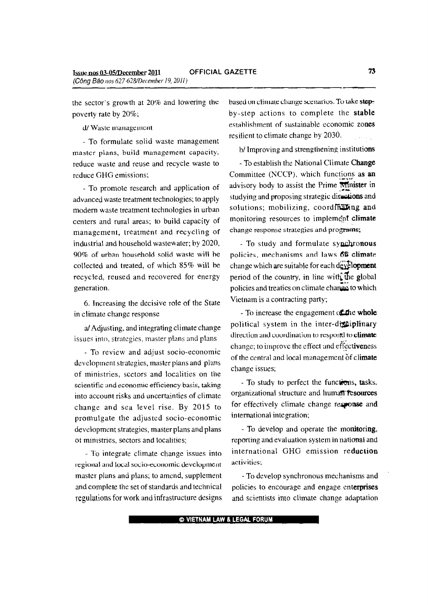the sector's growth at 20% and lowering the poverty rate by 20%;

d/ Waste management

- To formulate solid waste management master plans, build management capacity, reduce waste and reuse and recycle waste to reduce GHG emissions;

- To promote research and application of advanced waste treatment technologies; to apply modern waste treatment technologies in urban centers and rural areas; to build capacity of management, treatment and recycling of industrial and household wastewater; by 2020, 90% of urban household solid waste will he collected and treated, of which 85% will be recycled, reused and recovered for energy generation,

6. Increasing the decisive role of the State in climate change response

a/ Adjusting, and integrating climate change issues into, strategies, master plans and plans

- To review and adjust socio-economic development strategies, master plans and plans of ministries, sectors and localities on the scientific and economic efficiency basis, taking into account risks and uncertainties of climate change and sea level rise. By 2015 to promulgate the adjusted socio-economic development strategies, master plans and plans ot ministries, sectors and localities;

- To integrate climate change issues into regional and local socio-economic development master plans and plans; to amend, supplement and complete the set of standards and technical regulations for work and infrastructure designs based on climate change scenarios. To take stepby-step actions to complete the stable estahlishment of sustainable economic zones resilient to climate change by 2030.

b/ Improving and strengthening institutions

- To establish the National Climate Change Committee (NCCP), which functions as an advisory body to assist the Prime  $\overrightarrow{minister}$  in studying and proposing strategic directions and solutions; mobilizing, coordinating and monitoring resources to implement climate change response strategies and programs;

- To study and formulate synchronous policies, mechanisms and laws 66 climate change which are suitable for each  $dE$ . **Explopment** period of the country, in line with the global policies and treaties on climate change to which Vietnam is a contracting party;

- To increase the engagement of the whole political system in the inter-disciplinary direction and coordination to resportd to climate change; to improve the effect and effectiveness of the central and local management of climate change issues;

- To study to perfect the functions, tasks, organizational structure and human resources for effectively climate change response and international integration;

- To develop and operate the monitoring, reporting and evaluation system in national and international GHG emission reduction activ ities;

- To develop synchronous mechanisms and policies to encourage and engage enterprises and scientists into climate change adaptation

@VIETNAM LAW & LEGAL FORUM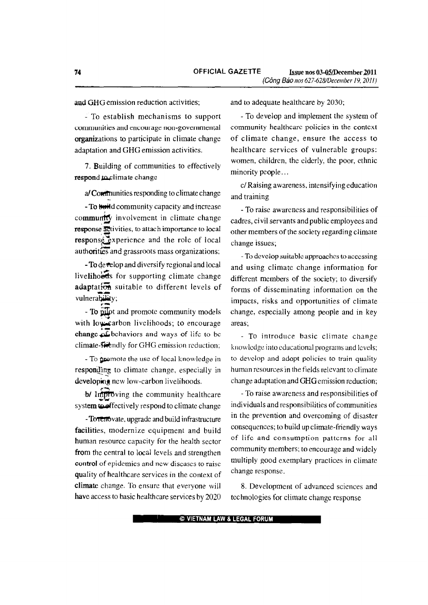and GHG emission reduction activities;

- To establish mechanisms to support communities and encourage non-governmental organizations to participate in climate change adaptation and GHG emission activities.

7. Building of communities to effectively respond to climate change

a/Communities responding to climate change

- To build community capacity and increase community involvement in climate change response activities, to attach importance to local response experience and the role of local authorities and grassroots mass organizations;

- To develop and diversify regional and local livelihoeds for supporting climate change adaptation suitable to different levels of vulnerability;

- To pilot and promote community models with low-carbon livelihoods; to encourage change of behaviors and ways of life to be climate-strength for GHG emission reduction;

- To promote the use of local knowledge in responding to climate change, especially in developing new low-carbon livelihoods.

b/ Improving the community healthcare system to effectively respond to climate change

- Torenovate, upgrade and build infrastructure facilities, modernize equipment and build human resource capacity for the health sector from the central to local levels and strengthen control of epidemics and new discases to raise quality of healthcare services in the context of climate change. To ensure that everyone will have access to basic healthcare services by 2020

and to adequate healthcare by 2030;

- To develop and implement the system of community healthcare policies in the context of climate change, ensure the access to healthcare services of vulnerable groups: women, children, the elderly, the poor, ethnic minority people...

c/Raising awareness, intensifying education and training

- To raise awareness and responsibilities of cadres, civil servants and public employees and other members of the society regarding climate change issues;

- To develop suitable approaches to accessing and using climate change information for different members of the society; to diversify forms of disseminating information on the impacts, risks and opportunities of climate change, especially among people and in key areas:

- To introduce basic climate change knowledge into educational programs and levels; to develop and adopt policies to train quality human resources in the fields relevant to climate change adaptation and GHG emission reduction;

- To raise awareness and responsibilities of individuals and responsibilities of communities in the prevention and overcoming of disaster consequences; to build up climate-friendly ways of life and consumption patterns for all community members; to encourage and widely multiply good exemplary practices in climate change response.

8. Development of advanced sciences and technologies for climate change response

© VIETNAM LAW & LEGAL FORUM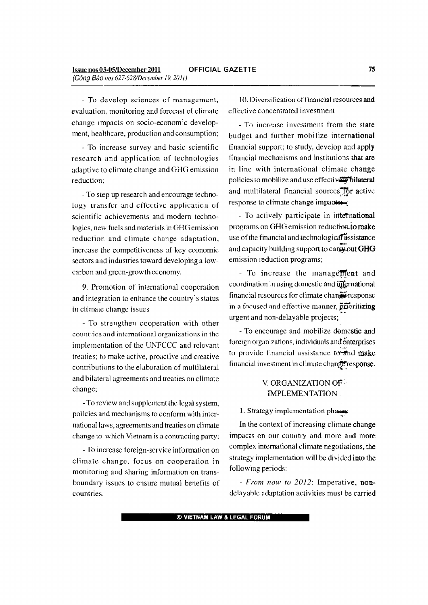- To develop sciences of management, evaluation, monitoring and forecast of climate change impacts on socio-economic development, healthcare, production and consumption;

- To increase survey and basic scientific research and application of technologies adaptive to climate change and GHG emission reduction;

- To step up research and encourage technology transfer and effective application of scientific achievements and modern technologies, new fuels and materials in GHGemission reduction and climate change adaptation, increase the competitiveness of key economic sectors and industries toward developing a lowcarbon and green-growth economy.

9. Promotion of international cooperation and integration to enhance the country's status in eli male change issues

- To strengthen cooperation with other countries and international organizations in the implementation of the UNFCCC and relevant treaties; to make active, proactive and creative contributions to the elaboration of multilateral and bilateral agreements and treaties on climate change;

- To review and supplement the legal system, policies and mechanisms to conform with international laws, agreements and treaties on climate change to which Vietnam is a contracting party;

- To increase foreign-service information on climate change, focus on cooperation in monitoring and sharing information on transboundary issues to ensure mutual benefits of countries.

10. Diversification of financial resources and effective concentrated investment

- To increase investment from the state budget and further mobilize international financial support; to study, develop and apply financial mechanisms and institutions that are in line with international climate change policies to mobilize and use effectively bilateral and multilateral financial sources for active response to climate change impactor

- To actively participate in intetnational programs on GHG emission reduction.to make use of the financial and technological assistance and capacity building support to carry out GHG emission reduction programs;

- To increase the management and coordination in using domestic and infernational financial resources for climate changeresponse in a focused and effective manner, prioritizing urgent and non-delayable projects;

- To encourage and mobilize domestic and foreign organizations, individuals and enterprises to provide financial assistance to and make financial investment in climate change response.

# V. ORGANIZATION OF . IMPLEMENTATION

### 1. Strategy implementation phases

In the context of increasing climate change impacts on our country and more and more complex international climate negotiations, the strategy implementation will be divided into the following periods:

*- From now to 2012:* Imperative, nondelayable adaptation activities must be carried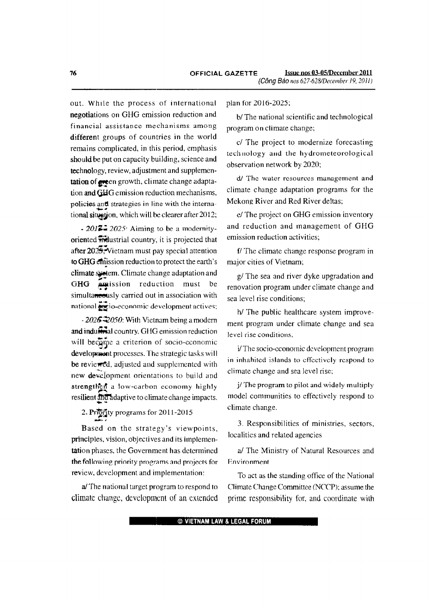out. While the process of international negotiations on GHG emission reduction and financial assistance mechanisms among different groups of countries in the world remains complicated, in this period, emphasis should be put on capacity building, science and technology, review, adjustment and supplementation of even growth, climate change adaptation and GHG emission reduction mechanisms, policies and strategies in line with the international situation, which will be clearer after 2012;

- 2017. 2025: Aiming to be a modernityoriented midustrial country, it is projected that after  $202\overline{5}$ . Vietnam must pay special attention to GHG emission reduction to protect the earth's climate system. Climate change adaptation and **Amission** reduction must be GHG simultaneously carried out in association with national exio-economic development actives;

- 2026  $\ddot{\sim}$  2050: With Vietnam being a modern and industrial country, GHG emission reduction will become a criterion of socio-economic development processes. The strategic tasks will be reviewed, adjusted and supplemented with new development orientations to build and strengthen a low-carbon economy highly resilient and adaptive to climate change impacts.

# 2. Priority programs for 2011-2015

Based on the strategy's viewpoints, principles, vision, objectives and its implementation phases, the Government has determined the following priority programs and projects for review, development and implementation:

a/The national target program to respond to climate change, development of an extended

### plan for 2016-2025,

b/The national scientific and technological program on climate change;

c/ The project to modernize forecasting technology and the hydrometeorological observation network by 2020;

d/ The water resources management and climate change adaptation programs for the Mekong River and Red River deltas;

e/ The project on GHG emission inventory and reduction and management of GHG emission reduction activities;

f/ The climate change response program in major cities of Vietnam;

g/ The sea and river dyke upgradation and renovation program under climate change and sea level rise conditions;

h/ The public healthcare system improvement program under climate change and sea level rise conditions,

i/The socio-economic development program in inhabited islands to effectively respond to climate change and sea level rise;

j/The program to pilot and widely multiply model communities to effectively respond to climate change.

3. Responsibilities of ministries, sectors, localities and related agencies

a/ The Ministry of Natural Resources and Environment

To act as the standing office of the National Climate Change Committee (NCCP): assume the prime responsibility for, and coordinate with